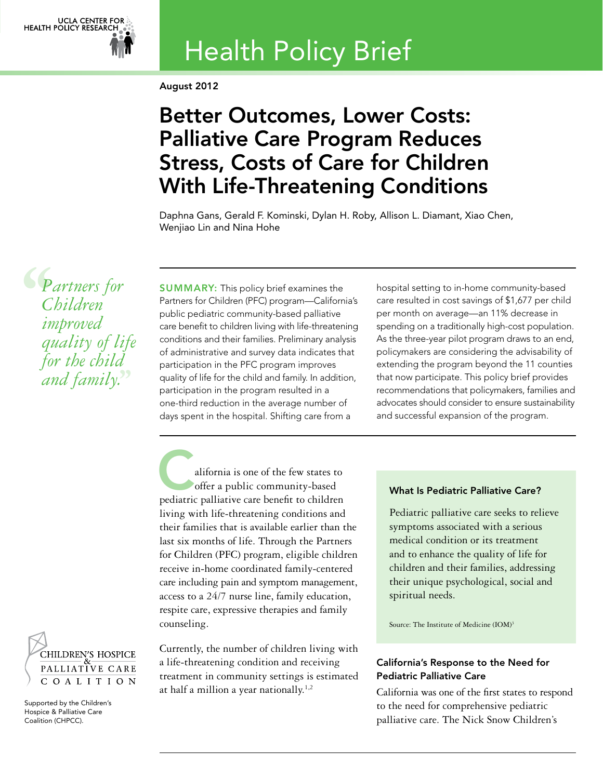

# Health Policy Brief

August 2012

## Better Outcomes, Lower Costs: Palliative Care Program Reduces Stress, Costs of Care for Children With Life-Threatening Conditions

Daphna Gans, Gerald F. Kominski, Dylan H. Roby, Allison L. Diamant, Xiao Chen, Wenjiao Lin and Nina Hohe

**S**<br> *C*<br> *im*<br> *qu Partners for Children improved quality of life for the child and family.***''**

SUMMARY: This policy brief examines the Partners for Children (PFC) program—California's public pediatric community-based palliative care benefit to children living with life-threatening conditions and their families. Preliminary analysis of administrative and survey data indicates that participation in the PFC program improves quality of life for the child and family. In addition, participation in the program resulted in a one-third reduction in the average number of days spent in the hospital. Shifting care from a

hospital setting to in-home community-based care resulted in cost savings of \$1,677 per child per month on average—an 11% decrease in spending on a traditionally high-cost population. As the three-year pilot program draws to an end, policymakers are considering the advisability of extending the program beyond the 11 counties that now participate. This policy brief provides recommendations that policymakers, families and advocates should consider to ensure sustainability and successful expansion of the program.

alifornia is one of the few states to<br>offer a public community-based offer a public community-based pediatric palliative care benefit to children living with life-threatening conditions and their families that is available earlier than the last six months of life. Through the Partners for Children (PFC) program, eligible children receive in-home coordinated family-centered care including pain and symptom management, access to a 24/7 nurse line, family education, respite care, expressive therapies and family counseling.

CHILDREN'S HOSPICE PALLIATIVE CARE COALITION

Supported by the Children's Hospice & Palliative Care Coalition (CHPCC).

Currently, the number of children living with a life-threatening condition and receiving treatment in community settings is estimated at half a million a year nationally. $1,2$ 

## What Is Pediatric Palliative Care?

Pediatric palliative care seeks to relieve symptoms associated with a serious medical condition or its treatment and to enhance the quality of life for children and their families, addressing their unique psychological, social and spiritual needs.

Source: The Institute of Medicine (IOM)<sup>3</sup>

## California's Response to the Need for Pediatric Palliative Care

California was one of the first states to respond to the need for comprehensive pediatric palliative care. The Nick Snow Children's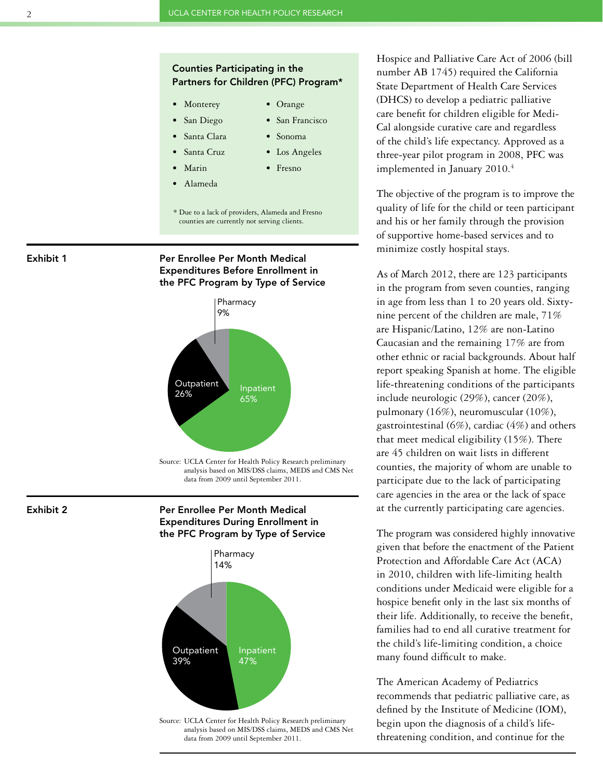## Counties Participating in the Partners for Children (PFC) Program\*

- Monterey Orange
	-
- San Diego San Francisco
	- Santa Clara Sonoma
	- Santa Cruz Los Angeles
	- Marin Fresno
- • Alameda
- 
- 
- \* Due to a lack of providers, Alameda and Fresno counties are currently not serving clients.

Exhibit 1







Source: UCLA Center for Health Policy Research preliminary analysis based on MIS/DSS claims, MEDS and CMS Net data from 2009 until September 2011.

Exhibit 2

Per Enrollee Per Month Medical Expenditures During Enrollment in the PFC Program by Type of Service



analysis based on MIS/DSS claims, MEDS and CMS Net data from 2009 until September 2011.

Hospice and Palliative Care Act of 2006 (bill number AB 1745) required the California State Department of Health Care Services (DHCS) to develop a pediatric palliative care benefit for children eligible for Medi-Cal alongside curative care and regardless of the child's life expectancy. Approved as a three-year pilot program in 2008, PFC was implemented in January 2010.<sup>4</sup>

The objective of the program is to improve the quality of life for the child or teen participant and his or her family through the provision of supportive home-based services and to minimize costly hospital stays.

As of March 2012, there are 123 participants in the program from seven counties, ranging in age from less than 1 to 20 years old. Sixtynine percent of the children are male, 71% are Hispanic/Latino, 12% are non-Latino Caucasian and the remaining 17% are from other ethnic or racial backgrounds. About half report speaking Spanish at home. The eligible life-threatening conditions of the participants include neurologic (29%), cancer (20%), pulmonary (16%), neuromuscular (10%), gastrointestinal (6%), cardiac (4%) and others that meet medical eligibility (15%). There are 45 children on wait lists in different counties, the majority of whom are unable to participate due to the lack of participating care agencies in the area or the lack of space at the currently participating care agencies.

The program was considered highly innovative given that before the enactment of the Patient Protection and Affordable Care Act (ACA) in 2010, children with life-limiting health conditions under Medicaid were eligible for a hospice benefit only in the last six months of their life. Additionally, to receive the benefit, families had to end all curative treatment for the child's life-limiting condition, a choice many found difficult to make.

The American Academy of Pediatrics recommends that pediatric palliative care, as defined by the Institute of Medicine (IOM), begin upon the diagnosis of a child's lifethreatening condition, and continue for the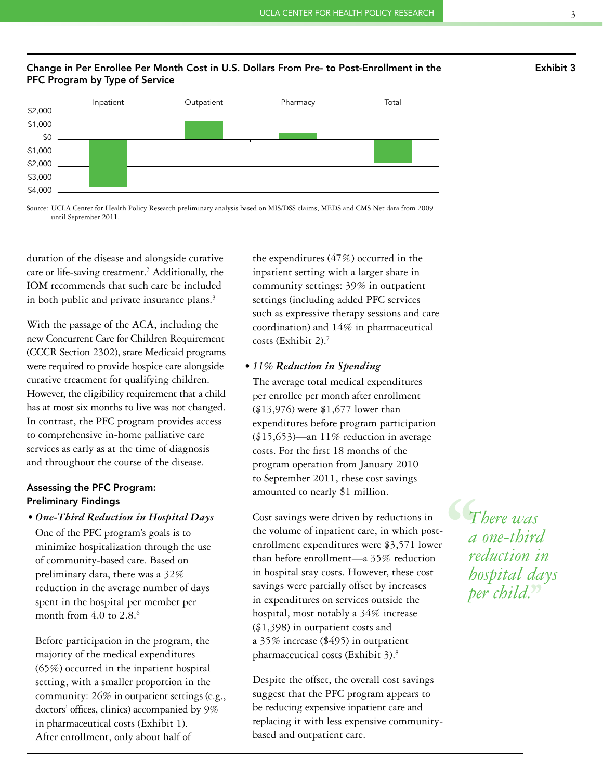## Change in Per Enrollee Per Month Cost in U.S. Dollars From Pre- to Post-Enrollment in the PFC Program by Type of Service



Source: UCLA Center for Health Policy Research preliminary analysis based on MIS/DSS claims, MEDS and CMS Net data from 2009 until September 2011.

duration of the disease and alongside curative care or life-saving treatment.<sup>5</sup> Additionally, the IOM recommends that such care be included in both public and private insurance plans.<sup>3</sup>

With the passage of the ACA, including the new Concurrent Care for Children Requirement (CCCR Section 2302), state Medicaid programs were required to provide hospice care alongside curative treatment for qualifying children. However, the eligibility requirement that a child has at most six months to live was not changed. In contrast, the PFC program provides access to comprehensive in-home palliative care services as early as at the time of diagnosis and throughout the course of the disease.

## Assessing the PFC Program: Preliminary Findings

### *• One-Third Reduction in Hospital Days*

One of the PFC program's goals is to minimize hospitalization through the use of community-based care. Based on preliminary data, there was a 32% reduction in the average number of days spent in the hospital per member per month from  $4.0$  to  $2.8<sup>6</sup>$ 

Before participation in the program, the majority of the medical expenditures (65%) occurred in the inpatient hospital setting, with a smaller proportion in the community: 26% in outpatient settings (e.g., doctors' offices, clinics) accompanied by 9% in pharmaceutical costs (Exhibit 1). After enrollment, only about half of

the expenditures (47%) occurred in the inpatient setting with a larger share in community settings: 39% in outpatient settings (including added PFC services such as expressive therapy sessions and care coordination) and 14% in pharmaceutical costs (Exhibit 2).7

## *• 11% Reduction in Spending*

The average total medical expenditures per enrollee per month after enrollment (\$13,976) were \$1,677 lower than expenditures before program participation  $($15,653)$ —an 11% reduction in average costs. For the first 18 months of the program operation from January 2010 to September 2011, these cost savings amounted to nearly \$1 million.

Cost savings were driven by reductions in the volume of inpatient care, in which postenrollment expenditures were \$3,571 lower than before enrollment—a 35% reduction in hospital stay costs. However, these cost savings were partially offset by increases in expenditures on services outside the hospital, most notably a 34% increase (\$1,398) in outpatient costs and a 35% increase (\$495) in outpatient pharmaceutical costs (Exhibit 3).8

Despite the offset, the overall cost savings suggest that the PFC program appears to be reducing expensive inpatient care and replacing it with less expensive communitybased and outpatient care.

 $\begin{array}{c} \mathbf{C_T} \\ \mathbf{F} \\ \mathbf{F} \\ \mathbf{F} \\ \mathbf{F} \\ \mathbf{F} \end{array}$ **''** *per child.There was a one-third reduction in hospital days*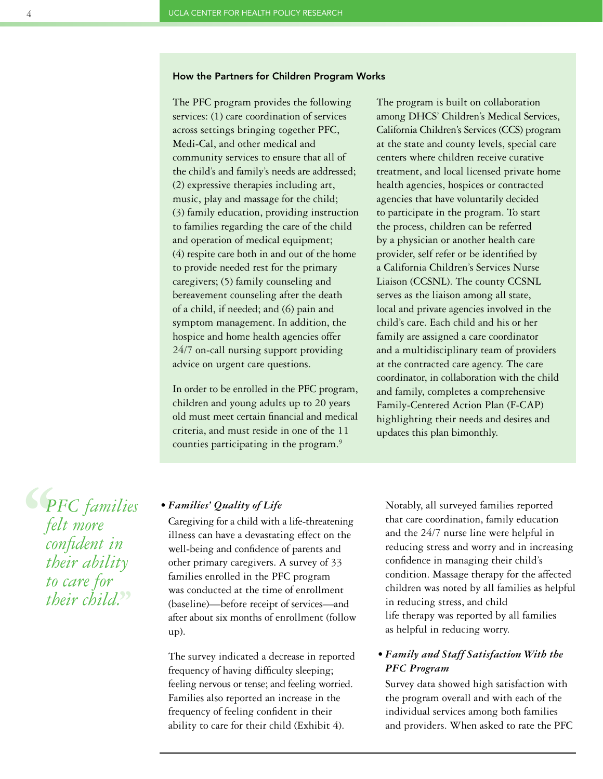## How the Partners for Children Program Works

The PFC program provides the following services: (1) care coordination of services across settings bringing together PFC, Medi-Cal, and other medical and community services to ensure that all of the child's and family's needs are addressed; (2) expressive therapies including art, music, play and massage for the child; (3) family education, providing instruction to families regarding the care of the child and operation of medical equipment; (4) respite care both in and out of the home to provide needed rest for the primary caregivers; (5) family counseling and bereavement counseling after the death of a child, if needed; and (6) pain and symptom management. In addition, the hospice and home health agencies offer 24/7 on-call nursing support providing advice on urgent care questions.

In order to be enrolled in the PFC program, children and young adults up to 20 years old must meet certain financial and medical criteria, and must reside in one of the 11 counties participating in the program.9

The program is built on collaboration among DHCS' Children's Medical Services, California Children's Services (CCS) program at the state and county levels, special care centers where children receive curative treatment, and local licensed private home health agencies, hospices or contracted agencies that have voluntarily decided to participate in the program. To start the process, children can be referred by a physician or another health care provider, self refer or be identified by a California Children's Services Nurse Liaison (CCSNL). The county CCSNL serves as the liaison among all state, local and private agencies involved in the child's care. Each child and his or her family are assigned a care coordinator and a multidisciplinary team of providers at the contracted care agency. The care coordinator, in collaboration with the child and family, completes a comprehensive Family-Centered Action Plan (F-CAP) highlighting their needs and desires and updates this plan bimonthly.

**S**<br> *s*<br> *te*<br> *co*<br> *tk* **''** *their child.PFC families felt more confident in their ability to care for* 

## *• Families' Quality of Life*

Caregiving for a child with a life-threatening illness can have a devastating effect on the well-being and confidence of parents and other primary caregivers. A survey of 33 families enrolled in the PFC program was conducted at the time of enrollment (baseline)—before receipt of services—and after about six months of enrollment (follow up).

The survey indicated a decrease in reported frequency of having difficulty sleeping; feeling nervous or tense; and feeling worried. Families also reported an increase in the frequency of feeling confident in their ability to care for their child (Exhibit 4).

Notably, all surveyed families reported that care coordination, family education and the 24/7 nurse line were helpful in reducing stress and worry and in increasing confidence in managing their child's condition. Massage therapy for the affected children was noted by all families as helpful in reducing stress, and child life therapy was reported by all families as helpful in reducing worry.

## *• Family and Staff Satisfaction With the PFC Program*

Survey data showed high satisfaction with the program overall and with each of the individual services among both families and providers. When asked to rate the PFC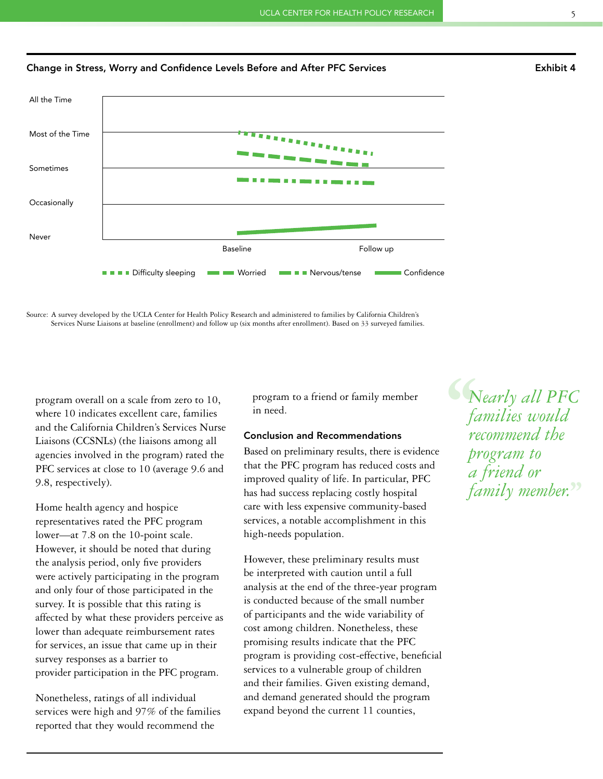



Source: A survey developed by the UCLA Center for Health Policy Research and administered to families by California Children's Services Nurse Liaisons at baseline (enrollment) and follow up (six months after enrollment). Based on 33 surveyed families.

program overall on a scale from zero to 10, where 10 indicates excellent care, families and the California Children's Services Nurse Liaisons (CCSNLs) (the liaisons among all agencies involved in the program) rated the PFC services at close to 10 (average 9.6 and 9.8, respectively).

Home health agency and hospice representatives rated the PFC program lower—at 7.8 on the 10-point scale. However, it should be noted that during the analysis period, only five providers were actively participating in the program and only four of those participated in the survey. It is possible that this rating is affected by what these providers perceive as lower than adequate reimbursement rates for services, an issue that came up in their survey responses as a barrier to provider participation in the PFC program.

Nonetheless, ratings of all individual services were high and 97% of the families reported that they would recommend the

program to a friend or family member in need.

## Conclusion and Recommendations

Based on preliminary results, there is evidence that the PFC program has reduced costs and improved quality of life. In particular, PFC has had success replacing costly hospital care with less expensive community-based services, a notable accomplishment in this high-needs population.

However, these preliminary results must be interpreted with caution until a full analysis at the end of the three-year program is conducted because of the small number of participants and the wide variability of cost among children. Nonetheless, these promising results indicate that the PFC program is providing cost-effective, beneficial services to a vulnerable group of children and their families. Given existing demand, and demand generated should the program expand beyond the current 11 counties,

 $\begin{matrix} \mathcal{L} \\ \mathcal{L} \\ \mathcal{L} \\ \mathcal{L} \\ \mathcal{L} \\ \mathcal{L} \\ \mathcal{L} \end{matrix}$ **''** *family member. Nearly all PFC families would recommend the program to a friend or*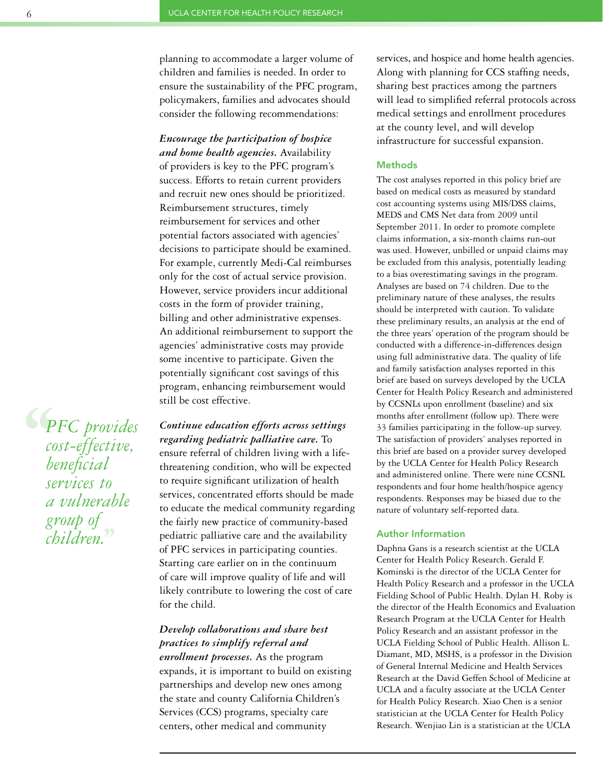planning to accommodate a larger volume of children and families is needed. In order to ensure the sustainability of the PFC program, policymakers, families and advocates should consider the following recommendations:

*Encourage the participation of hospice and home health agencies.* Availability of providers is key to the PFC program's success. Efforts to retain current providers and recruit new ones should be prioritized. Reimbursement structures, timely reimbursement for services and other potential factors associated with agencies' decisions to participate should be examined. For example, currently Medi-Cal reimburses only for the cost of actual service provision. However, service providers incur additional costs in the form of provider training, billing and other administrative expenses. An additional reimbursement to support the agencies' administrative costs may provide some incentive to participate. Given the potentially significant cost savings of this program, enhancing reimbursement would still be cost effective.

*Continue education efforts across settings regarding pediatric palliative care.* To ensure referral of children living with a lifethreatening condition, who will be expected to require significant utilization of health services, concentrated efforts should be made to educate the medical community regarding the fairly new practice of community-based pediatric palliative care and the availability of PFC services in participating counties. Starting care earlier on in the continuum of care will improve quality of life and will likely contribute to lowering the cost of care for the child.

## *Develop collaborations and share best practices to simplify referral and*

*enrollment processes.* As the program expands, it is important to build on existing partnerships and develop new ones among the state and county California Children's Services (CCS) programs, specialty care centers, other medical and community

services, and hospice and home health agencies. Along with planning for CCS staffing needs, sharing best practices among the partners will lead to simplified referral protocols across medical settings and enrollment procedures at the county level, and will develop infrastructure for successful expansion.

#### **Methods**

The cost analyses reported in this policy brief are based on medical costs as measured by standard cost accounting systems using MIS/DSS claims, MEDS and CMS Net data from 2009 until September 2011. In order to promote complete claims information, a six-month claims run-out was used. However, unbilled or unpaid claims may be excluded from this analysis, potentially leading to a bias overestimating savings in the program. Analyses are based on 74 children. Due to the preliminary nature of these analyses, the results should be interpreted with caution. To validate these preliminary results, an analysis at the end of the three years' operation of the program should be conducted with a difference-in-differences design using full administrative data. The quality of life and family satisfaction analyses reported in this brief are based on surveys developed by the UCLA Center for Health Policy Research and administered by CCSNLs upon enrollment (baseline) and six months after enrollment (follow up). There were 33 families participating in the follow-up survey. The satisfaction of providers' analyses reported in this brief are based on a provider survey developed by the UCLA Center for Health Policy Research and administered online. There were nine CCSNL respondents and four home health/hospice agency respondents. Responses may be biased due to the nature of voluntary self-reported data.

#### Author Information

Daphna Gans is a research scientist at the UCLA Center for Health Policy Research. Gerald F. Kominski is the director of the UCLA Center for Health Policy Research and a professor in the UCLA Fielding School of Public Health. Dylan H. Roby is the director of the Health Economics and Evaluation Research Program at the UCLA Center for Health Policy Research and an assistant professor in the UCLA Fielding School of Public Health. Allison L. Diamant, MD, MSHS, is a professor in the Division of General Internal Medicine and Health Services Research at the David Geffen School of Medicine at UCLA and a faculty associate at the UCLA Center for Health Policy Research. Xiao Chen is a senior statistician at the UCLA Center for Health Policy Research. Wenjiao Lin is a statistician at the UCLA

**S**<br> *C*<br> *CO*<br> *CO*<br> *Se* **''** *PFC provides cost-effective, beneficial services to a vulnerable group of children.*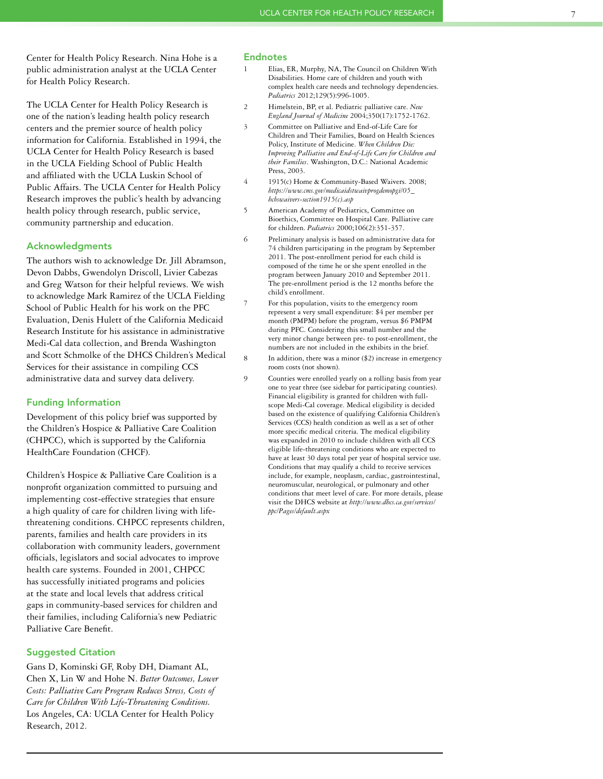Center for Health Policy Research. Nina Hohe is a public administration analyst at the UCLA Center for Health Policy Research.

The UCLA Center for Health Policy Research is one of the nation's leading health policy research centers and the premier source of health policy information for California. Established in 1994, the UCLA Center for Health Policy Research is based in the UCLA Fielding School of Public Health and affiliated with the UCLA Luskin School of Public Affairs. The UCLA Center for Health Policy Research improves the public's health by advancing health policy through research, public service, community partnership and education.

### Acknowledgments

The authors wish to acknowledge Dr. Jill Abramson, Devon Dabbs, Gwendolyn Driscoll, Livier Cabezas and Greg Watson for their helpful reviews. We wish to acknowledge Mark Ramirez of the UCLA Fielding School of Public Health for his work on the PFC Evaluation, Denis Hulett of the California Medicaid Research Institute for his assistance in administrative Medi-Cal data collection, and Brenda Washington and Scott Schmolke of the DHCS Children's Medical Services for their assistance in compiling CCS administrative data and survey data delivery.

#### Funding Information

Development of this policy brief was supported by the Children's Hospice & Palliative Care Coalition (CHPCC), which is supported by the California HealthCare Foundation (CHCF).

Children's Hospice & Palliative Care Coalition is a nonprofit organization committed to pursuing and implementing cost-effective strategies that ensure a high quality of care for children living with lifethreatening conditions. CHPCC represents children, parents, families and health care providers in its collaboration with community leaders, government officials, legislators and social advocates to improve health care systems. Founded in 2001, CHPCC has successfully initiated programs and policies at the state and local levels that address critical gaps in community-based services for children and their families, including California's new Pediatric Palliative Care Benefit.

#### Suggested Citation

Gans D, Kominski GF, Roby DH, Diamant AL, Chen X, Lin W and Hohe N. *Better Outcomes, Lower Costs: Palliative Care Program Reduces Stress, Costs of Care for Children With Life-Threatening Conditions.* Los Angeles, CA: UCLA Center for Health Policy Research, 2012.

#### Endnotes

- Elias, ER, Murphy, NA, The Council on Children With Disabilities. Home care of children and youth with complex health care needs and technology dependencies. *Pediatrics* 2012;129(5):996-1005.
- 2 Himelstein, BP, et al. Pediatric palliative care. *New England Journal of Medicine* 2004;350(17):1752-1762.
- 3 Committee on Palliative and End-of-Life Care for Children and Their Families, Board on Health Sciences Policy, Institute of Medicine. *When Children Die: Improving Palliative and End-of-Life Care for Children and their Families*. Washington, D.C.: National Academic Press, 2003.
- 4 1915(c) Home & Community-Based Waivers. 2008; *[https://www.cms.gov/medicaidstwaivprogdemopgi/05\\_](https://www.cms.gov/medicaidstwaivprogdemopgi/05_hcbswaivers-section1915(c).asp) hcbswaivers-section1915(c).asp*
- 5 American Academy of Pediatrics, Committee on Bioethics, Committee on Hospital Care. Palliative care for children. *Pediatrics* 2000;106(2):351-357.
- 6 Preliminary analysis is based on administrative data for 74 children participating in the program by September 2011. The post-enrollment period for each child is composed of the time he or she spent enrolled in the program between January 2010 and September 2011. The pre-enrollment period is the 12 months before the child's enrollment.
- 7 For this population, visits to the emergency room represent a very small expenditure: \$4 per member per month (PMPM) before the program, versus \$6 PMPM during PFC. Considering this small number and the very minor change between pre- to post-enrollment, the numbers are not included in the exhibits in the brief.
- 8 In addition, there was a minor (\$2) increase in emergency room costs (not shown).
- 9 Counties were enrolled yearly on a rolling basis from year one to year three (see sidebar for participating counties). Financial eligibility is granted for children with fullscope Medi-Cal coverage. Medical eligibility is decided based on the existence of qualifying California Children's Services (CCS) health condition as well as a set of other more specific medical criteria. The medical eligibility was expanded in 2010 to include children with all CCS eligible life-threatening conditions who are expected to have at least 30 days total per year of hospital service use. Conditions that may qualify a child to receive services include, for example, neoplasm, cardiac, gastrointestinal, neuromuscular, neurological, or pulmonary and other conditions that meet level of care. For more details, please visit the DHCS website at *[http://www.dhcs.ca.gov/services/](http://www.dhcs.ca.gov/services/ppc/Pages/default.aspx) ppc/Pages/default.aspx*